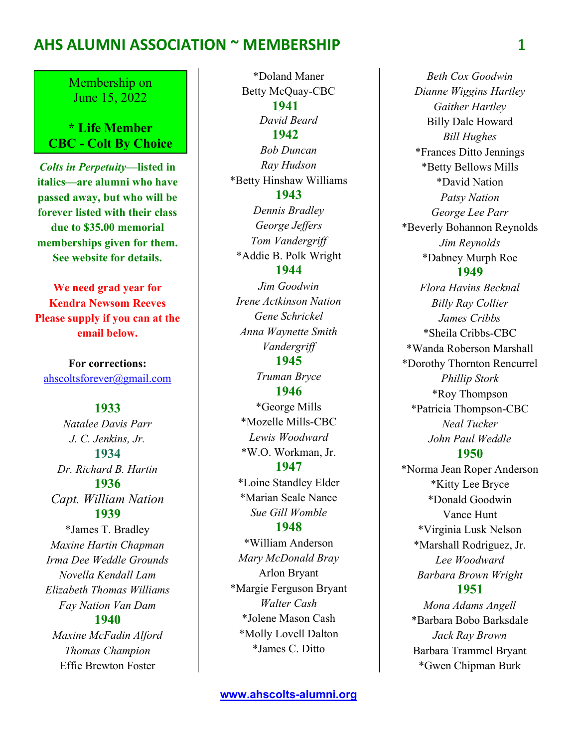Membership on June 15, 2022

\* Life Member CBC - Colt By Choice

Colts in Perpetuity—listed in italics—are alumni who have passed away, but who will be forever listed with their class due to \$35.00 memorial memberships given for them. See website for details.  $\overline{a}$ 

We need grad year for Kendra Newsom Reeves Please supply if you can at the email below.

For corrections: ahscoltsforever@gmail.com

#### 1933

Natalee Davis Parr J. C. Jenkins, Jr. 1934 Dr. Richard B. Hartin 1936 Capt. William Nation 1939 \*James T. Bradley Maxine Hartin Chapman Irma Dee Weddle Grounds Novella Kendall Lam Elizabeth Thomas Williams Fay Nation Van Dam 1940 Maxine McFadin Alford Thomas Champion Effie Brewton Foster

\*Doland Maner Betty McQuay-CBC 1941 David Beard 1942 Bob Duncan Ray Hudson \*Betty Hinshaw Williams 1943 Dennis Bradley George Jeffers Tom Vandergriff \*Addie B. Polk Wright 1944 Jim Goodwin Irene Actkinson Nation Gene Schrickel Anna Waynette Smith Vandergriff 1945 Truman Bryce 1946 \*George Mills \*Mozelle Mills-CBC Lewis Woodward \*W.O. Workman, Jr. 1947 \*Loine Standley Elder \*Marian Seale Nance Sue Gill Womble 1948 \*William Anderson Mary McDonald Bray Arlon Bryant \*Margie Ferguson Bryant Walter Cash \*Jolene Mason Cash \*Molly Lovell Dalton \*James C. Ditto

Beth Cox Goodwin Dianne Wiggins Hartley Gaither Hartley Billy Dale Howard Bill Hughes \*Frances Ditto Jennings \*Betty Bellows Mills \*David Nation Patsy Nation George Lee Parr \*Beverly Bohannon Reynolds Jim Reynolds \*Dabney Murph Roe 1949 Flora Havins Becknal Billy Ray Collier James Cribbs \*Sheila Cribbs-CBC \*Wanda Roberson Marshall \*Dorothy Thornton Rencurrel Phillip Stork \*Roy Thompson \*Patricia Thompson-CBC Neal Tucker John Paul Weddle 1950 \*Norma Jean Roper Anderson \*Kitty Lee Bryce \*Donald Goodwin Vance Hunt

\*Virginia Lusk Nelson \*Marshall Rodriguez, Jr. Lee Woodward Barbara Brown Wright 1951 Mona Adams Angell \*Barbara Bobo Barksdale Jack Ray Brown

Barbara Trammel Bryant \*Gwen Chipman Burk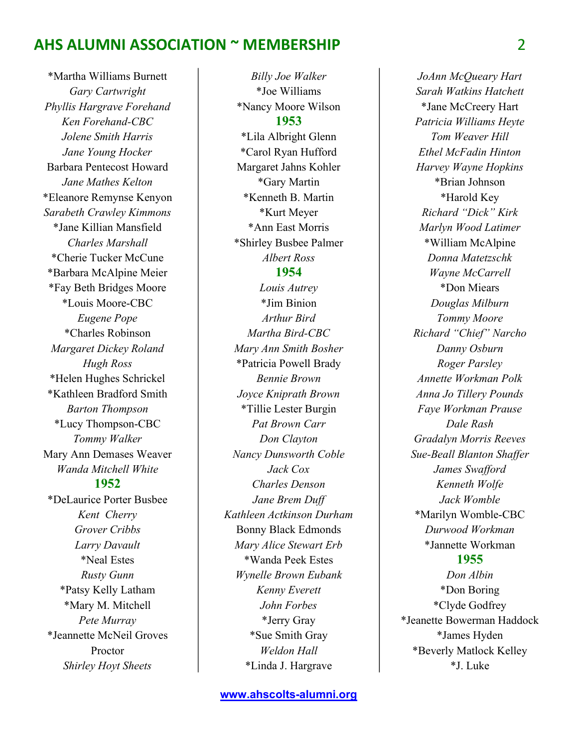\*Martha Williams Burnett Gary Cartwright Phyllis Hargrave Forehand Ken Forehand-CBC Jolene Smith Harris Jane Young Hocker Barbara Pentecost Howard Jane Mathes Kelton \*Eleanore Remynse Kenyon Sarabeth Crawley Kimmons \*Jane Killian Mansfield Charles Marshall \*Cherie Tucker McCune \*Barbara McAlpine Meier \*Fay Beth Bridges Moore \*Louis Moore-CBC Eugene Pope \*Charles Robinson Margaret Dickey Roland Hugh Ross \*Helen Hughes Schrickel \*Kathleen Bradford Smith Barton Thompson \*Lucy Thompson-CBC Tommy Walker Mary Ann Demases Weaver Wanda Mitchell White 1952 \*DeLaurice Porter Busbee Kent Cherry Grover Cribbs Larry Davault \*Neal Estes Rusty Gunn \*Patsy Kelly Latham \*Mary M. Mitchell Pete Murray \*Jeannette McNeil Groves Proctor Shirley Hoyt Sheets

\*Joe Williams \*Nancy Moore Wilson 1953 \*Lila Albright Glenn \*Carol Ryan Hufford Margaret Jahns Kohler \*Gary Martin \*Kenneth B. Martin \*Kurt Meyer \*Ann East Morris \*Shirley Busbee Palmer Albert Ross 1954 Louis Autrey \*Jim Binion Arthur Bird Martha Bird-CBC Mary Ann Smith Bosher \*Patricia Powell Brady Bennie Brown Joyce Kniprath Brown \*Tillie Lester Burgin Pat Brown Carr Don Clayton Nancy Dunsworth Coble Jack Cox Charles Denson Jane Brem Duff Kathleen Actkinson Durham Bonny Black Edmonds Mary Alice Stewart Erb \*Wanda Peek Estes Wynelle Brown Eubank Kenny Everett John Forbes \*Jerry Gray \*Sue Smith Gray Weldon Hall \*Linda J. Hargrave

Billy Joe Walker

JoAnn McQueary Hart Sarah Watkins Hatchett \*Jane McCreery Hart Patricia Williams Heyte Tom Weaver Hill Ethel McFadin Hinton Harvey Wayne Hopkins \*Brian Johnson \*Harold Key Richard "Dick" Kirk Marlyn Wood Latimer \*William McAlpine Donna Matetzschk Wayne McCarrell \*Don Miears Douglas Milburn Tommy Moore Richard "Chief" Narcho Danny Osburn Roger Parsley Annette Workman Polk Anna Jo Tillery Pounds Faye Workman Prause Dale Rash Gradalyn Morris Reeves Sue-Beall Blanton Shaffer James Swafford Kenneth Wolfe Jack Womble \*Marilyn Womble-CBC Durwood Workman \*Jannette Workman

#### 1955

Don Albin \*Don Boring \*Clyde Godfrey \*Jeanette Bowerman Haddock \*James Hyden \*Beverly Matlock Kelley \*J. Luke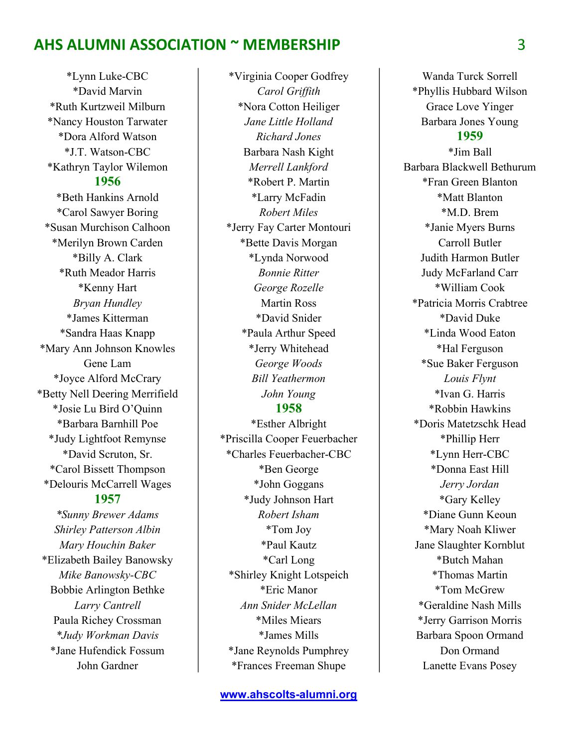\*Lynn Luke-CBC \*David Marvin \*Ruth Kurtzweil Milburn \*Nancy Houston Tarwater \*Dora Alford Watson \*J.T. Watson-CBC \*Kathryn Taylor Wilemon 1956 \*Beth Hankins Arnold \*Carol Sawyer Boring \*Susan Murchison Calhoon \*Merilyn Brown Carden \*Billy A. Clark \*Ruth Meador Harris \*Kenny Hart Bryan Hundley \*James Kitterman \*Sandra Haas Knapp \*Mary Ann Johnson Knowles Gene Lam \*Joyce Alford McCrary \*Betty Nell Deering Merrifield \*Josie Lu Bird O'Quinn \*Barbara Barnhill Poe \*Judy Lightfoot Remynse \*David Scruton, Sr. \*Carol Bissett Thompson \*Delouris McCarrell Wages 1957 \*Sunny Brewer Adams Shirley Patterson Albin Mary Houchin Baker

\*Elizabeth Bailey Banowsky Mike Banowsky-CBC Bobbie Arlington Bethke Larry Cantrell Paula Richey Crossman \*Judy Workman Davis \*Jane Hufendick Fossum John Gardner

\*Eric Manor Ann Snider McLellan \*Miles Miears \*James Mills \*Jane Reynolds Pumphrey \*Frances Freeman Shupe

\*Virginia Cooper Godfrey Carol Griffith \*Nora Cotton Heiliger Jane Little Holland Richard Jones Barbara Nash Kight Merrell Lankford \*Robert P. Martin \*Larry McFadin Robert Miles \*Jerry Fay Carter Montouri \*Bette Davis Morgan \*Lynda Norwood Bonnie Ritter George Rozelle Martin Ross \*David Snider \*Paula Arthur Speed \*Jerry Whitehead George Woods Bill Yeathermon John Young 1958

\*Esther Albright \*Priscilla Cooper Feuerbacher \*Charles Feuerbacher-CBC \*Ben George \*John Goggans \*Judy Johnson Hart Robert Isham \*Tom Joy \*Paul Kautz \*Carl Long \*Shirley Knight Lotspeich

Wanda Turck Sorrell \*Phyllis Hubbard Wilson Grace Love Yinger Barbara Jones Young 1959 \*Jim Ball Barbara Blackwell Bethurum \*Fran Green Blanton \*Matt Blanton \*M.D. Brem \*Janie Myers Burns Carroll Butler Judith Harmon Butler Judy McFarland Carr \*William Cook \*Patricia Morris Crabtree \*David Duke \*Linda Wood Eaton \*Hal Ferguson \*Sue Baker Ferguson Louis Flynt \*Ivan G. Harris \*Robbin Hawkins \*Doris Matetzschk Head \*Phillip Herr \*Lynn Herr-CBC \*Donna East Hill Jerry Jordan

\*Gary Kelley \*Diane Gunn Keoun \*Mary Noah Kliwer Jane Slaughter Kornblut \*Butch Mahan \*Thomas Martin \*Tom McGrew \*Geraldine Nash Mills \*Jerry Garrison Morris Barbara Spoon Ormand Don Ormand Lanette Evans Posey

3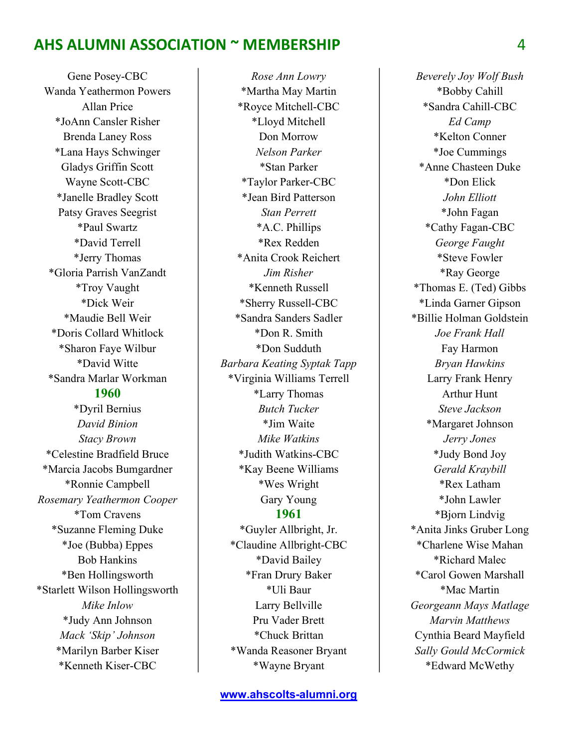Gene Posey-CBC Wanda Yeathermon Powers Allan Price \*JoAnn Cansler Risher Brenda Laney Ross \*Lana Hays Schwinger Gladys Griffin Scott Wayne Scott-CBC \*Janelle Bradley Scott Patsy Graves Seegrist \*Paul Swartz \*David Terrell \*Jerry Thomas \*Gloria Parrish VanZandt \*Troy Vaught \*Dick Weir \*Maudie Bell Weir \*Doris Collard Whitlock \*Sharon Faye Wilbur \*David Witte \*Sandra Marlar Workman 1960 \*Dyril Bernius David Binion Stacy Brown \*Celestine Bradfield Bruce \*Marcia Jacobs Bumgardner \*Ronnie Campbell Rosemary Yeathermon Cooper \*Tom Cravens \*Suzanne Fleming Duke \*Joe (Bubba) Eppes Bob Hankins \*Ben Hollingsworth \*Starlett Wilson Hollingsworth Mike Inlow \*Judy Ann Johnson Mack 'Skip' Johnson \*Marilyn Barber Kiser \*Kenneth Kiser-CBC

Rose Ann Lowry \*Martha May Martin \*Royce Mitchell-CBC \*Lloyd Mitchell Don Morrow Nelson Parker \*Stan Parker \*Taylor Parker-CBC \*Jean Bird Patterson Stan Perrett \*A.C. Phillips \*Rex Redden \*Anita Crook Reichert Jim Risher \*Kenneth Russell \*Sherry Russell-CBC \*Sandra Sanders Sadler \*Don R. Smith \*Don Sudduth Barbara Keating Syptak Tapp \*Virginia Williams Terrell \*Larry Thomas Butch Tucker \*Jim Waite Mike Watkins \*Judith Watkins-CBC \*Kay Beene Williams \*Wes Wright Gary Young 1961 \*Guyler Allbright, Jr. \*Claudine Allbright-CBC \*David Bailey \*Fran Drury Baker \*Uli Baur

Beverely Joy Wolf Bush \*Bobby Cahill \*Sandra Cahill-CBC Ed Camp \*Kelton Conner \*Joe Cummings \*Anne Chasteen Duke \*Don Elick John Elliott \*John Fagan \*Cathy Fagan-CBC George Faught \*Steve Fowler \*Ray George \*Thomas E. (Ted) Gibbs \*Linda Garner Gipson \*Billie Holman Goldstein Joe Frank Hall Fay Harmon Bryan Hawkins Larry Frank Henry Arthur Hunt Steve Jackson \*Margaret Johnson Jerry Jones \*Judy Bond Joy Gerald Kraybill \*Rex Latham \*John Lawler \*Bjorn Lindvig \*Anita Jinks Gruber Long \*Charlene Wise Mahan \*Richard Malec \*Carol Gowen Marshall \*Mac Martin Georgeann Mays Matlage Marvin Matthews Cynthia Beard Mayfield Sally Gould McCormick \*Edward McWethy

Larry Bellville Pru Vader Brett \*Chuck Brittan \*Wanda Reasoner Bryant \*Wayne Bryant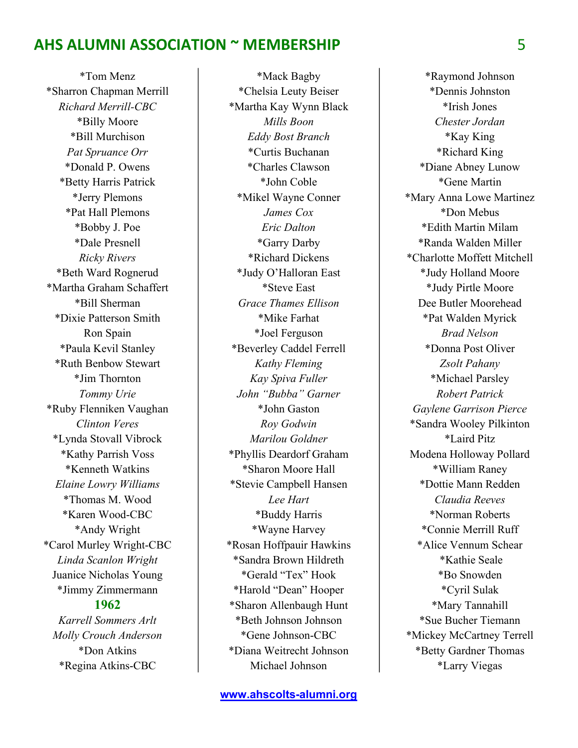\*Tom Menz \*Sharron Chapman Merrill Richard Merrill-CBC \*Billy Moore \*Bill Murchison Pat Spruance Orr \*Donald P. Owens \*Betty Harris Patrick \*Jerry Plemons \*Pat Hall Plemons \*Bobby J. Poe \*Dale Presnell Ricky Rivers \*Beth Ward Rognerud \*Martha Graham Schaffert \*Bill Sherman \*Dixie Patterson Smith Ron Spain \*Paula Kevil Stanley \*Ruth Benbow Stewart \*Jim Thornton Tommy Urie \*Ruby Flenniken Vaughan Clinton Veres \*Lynda Stovall Vibrock \*Kathy Parrish Voss \*Kenneth Watkins Elaine Lowry Williams \*Thomas M. Wood \*Karen Wood-CBC \*Andy Wright \*Carol Murley Wright-CBC Linda Scanlon Wright Juanice Nicholas Young \*Jimmy Zimmermann 1962 Karrell Sommers Arlt

Molly Crouch Anderson \*Don Atkins \*Regina Atkins-CBC

Michael Johnson

\*Mack Bagby \*Chelsia Leuty Beiser \*Martha Kay Wynn Black Mills Boon Eddy Bost Branch \*Curtis Buchanan \*Charles Clawson \*John Coble \*Mikel Wayne Conner James Cox Eric Dalton \*Garry Darby \*Richard Dickens \*Judy O'Halloran East \*Steve East Grace Thames Ellison \*Mike Farhat \*Joel Ferguson \*Beverley Caddel Ferrell Kathy Fleming Kay Spiva Fuller John "Bubba" Garner \*John Gaston Roy Godwin Marilou Goldner \*Phyllis Deardorf Graham \*Sharon Moore Hall \*Stevie Campbell Hansen Lee Hart \*Buddy Harris \*Wayne Harvey \*Rosan Hoffpauir Hawkins \*Sandra Brown Hildreth \*Gerald "Tex" Hook \*Harold "Dean" Hooper \*Sharon Allenbaugh Hunt \*Beth Johnson Johnson \*Gene Johnson-CBC \*Diana Weitrecht Johnson

\*Raymond Johnson \*Dennis Johnston \*Irish Jones Chester Jordan \*Kay King \*Richard King \*Diane Abney Lunow \*Gene Martin \*Mary Anna Lowe Martinez \*Don Mebus \*Edith Martin Milam \*Randa Walden Miller \*Charlotte Moffett Mitchell \*Judy Holland Moore \*Judy Pirtle Moore Dee Butler Moorehead \*Pat Walden Myrick Brad Nelson \*Donna Post Oliver Zsolt Pahany \*Michael Parsley Robert Patrick Gaylene Garrison Pierce \*Sandra Wooley Pilkinton \*Laird Pitz Modena Holloway Pollard \*William Raney \*Dottie Mann Redden Claudia Reeves \*Norman Roberts \*Connie Merrill Ruff \*Alice Vennum Schear \*Kathie Seale \*Bo Snowden \*Cyril Sulak \*Mary Tannahill \*Sue Bucher Tiemann \*Mickey McCartney Terrell \*Betty Gardner Thomas \*Larry Viegas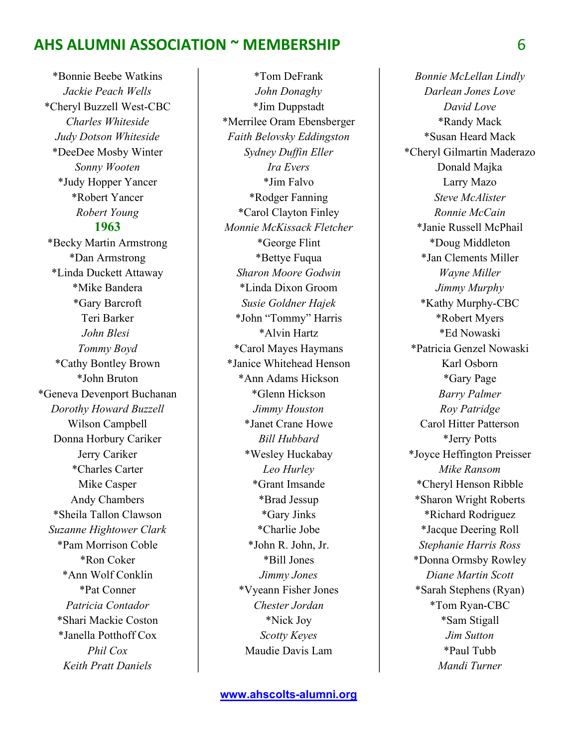\*Bonnie Beebe Watkins Jackie Peach Wells \*Cheryl Buzzell West-CBC Charles Whiteside Judy Dotson Whiteside \*DeeDee Mosby Winter Sonny Wooten \*Judy Hopper Yancer \*Robert Yancer Robert Young 1963 \*Becky Martin Armstrong \*Dan Armstrong \*Linda Duckett Attaway \*Mike Bandera \*Gary Barcroft Teri Barker John Blesi Tommy Boyd \*Cathy Bontley Brown \*John Bruton \*Geneva Devenport Buchanan Dorothy Howard Buzzell Wilson Campbell Donna Horbury Cariker Jerry Cariker \*Charles Carter Mike Casper Andy Chambers \*Sheila Tallon Clawson Suzanne Hightower Clark \*Pam Morrison Coble \*Ron Coker \*Ann Wolf Conklin \*Pat Conner Patricia Contador \*Shari Mackie Coston \*Janella Potthoff Cox Phil Cox Keith Pratt Daniels

\*Tom DeFrank John Donaghy \*Jim Duppstadt \*Merrilee Oram Ebensberger Faith Belovsky Eddingston Sydney Duffin Eller Ira Evers \*Jim Falvo \*Rodger Fanning \*Carol Clayton Finley Monnie McKissack Fletcher \*George Flint \*Bettye Fuqua Sharon Moore Godwin \*Linda Dixon Groom Susie Goldner Hajek \*John "Tommy" Harris \*Alvin Hartz \*Carol Mayes Haymans \*Janice Whitehead Henson \*Ann Adams Hickson \*Glenn Hickson Jimmy Houston \*Janet Crane Howe Bill Hubbard \*Wesley Huckabay Leo Hurley \*Grant Imsande \*Brad Jessup \*Gary Jinks \*Charlie Jobe \*John R. John, Jr. \*Bill Jones Jimmy Jones \*Vyeann Fisher Jones Chester Jordan \*Nick Joy Scotty Keyes Maudie Davis Lam

Bonnie McLellan Lindly Darlean Jones Love David Love \*Randy Mack \*Susan Heard Mack \*Cheryl Gilmartin Maderazo Donald Majka Larry Mazo Steve McAlister Ronnie McCain \*Janie Russell McPhail \*Doug Middleton \*Jan Clements Miller Wayne Miller Jimmy Murphy \*Kathy Murphy-CBC \*Robert Myers \*Ed Nowaski \*Patricia Genzel Nowaski Karl Osborn \*Gary Page Barry Palmer Roy Patridge Carol Hitter Patterson \*Jerry Potts \*Joyce Heffington Preisser Mike Ransom \*Cheryl Henson Ribble \*Sharon Wright Roberts \*Richard Rodriguez \*Jacque Deering Roll Stephanie Harris Ross \*Donna Ormsby Rowley Diane Martin Scott \*Sarah Stephens (Ryan) \*Tom Ryan-CBC \*Sam Stigall Jim Sutton \*Paul Tubb Mandi Turner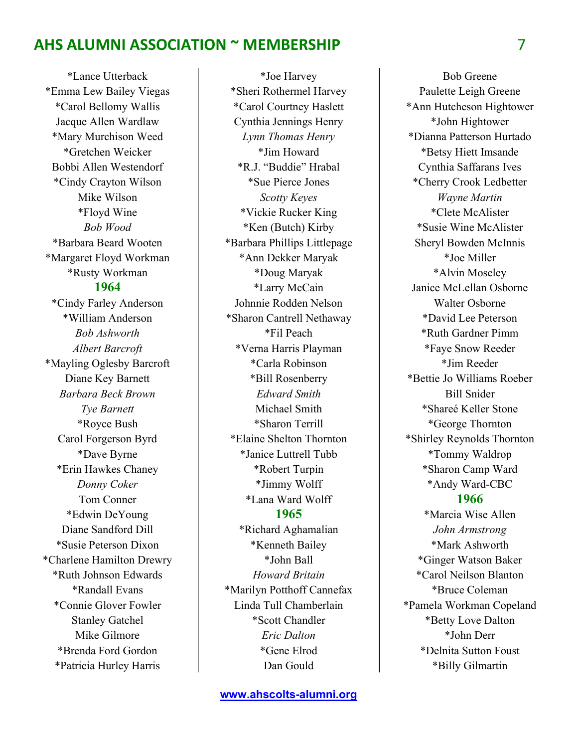\*Lance Utterback \*Emma Lew Bailey Viegas \*Carol Bellomy Wallis Jacque Allen Wardlaw \*Mary Murchison Weed \*Gretchen Weicker Bobbi Allen Westendorf \*Cindy Crayton Wilson Mike Wilson \*Floyd Wine Bob Wood \*Barbara Beard Wooten \*Margaret Floyd Workman \*Rusty Workman 1964 \*Cindy Farley Anderson \*William Anderson Bob Ashworth Albert Barcroft \*Mayling Oglesby Barcroft Diane Key Barnett Barbara Beck Brown Tye Barnett \*Royce Bush Carol Forgerson Byrd \*Dave Byrne \*Erin Hawkes Chaney Donny Coker Tom Conner \*Edwin DeYoung Diane Sandford Dill \*Susie Peterson Dixon \*Charlene Hamilton Drewry \*Ruth Johnson Edwards \*Randall Evans \*Connie Glover Fowler Stanley Gatchel Mike Gilmore \*Brenda Ford Gordon \*Patricia Hurley Harris

\*Joe Harvey \*Sheri Rothermel Harvey \*Carol Courtney Haslett Cynthia Jennings Henry Lynn Thomas Henry \*Jim Howard \*R.J. "Buddie" Hrabal \*Sue Pierce Jones Scotty Keyes \*Vickie Rucker King \*Ken (Butch) Kirby \*Barbara Phillips Littlepage \*Ann Dekker Maryak \*Doug Maryak \*Larry McCain Johnnie Rodden Nelson \*Sharon Cantrell Nethaway \*Fil Peach \*Verna Harris Playman \*Carla Robinson \*Bill Rosenberry Edward Smith Michael Smith \*Sharon Terrill \*Elaine Shelton Thornton \*Janice Luttrell Tubb \*Robert Turpin \*Jimmy Wolff \*Lana Ward Wolff 1965 \*Richard Aghamalian \*Kenneth Bailey \*John Ball Howard Britain \*Marilyn Potthoff Cannefax Linda Tull Chamberlain

\*Scott Chandler Eric Dalton \*Gene Elrod

Dan Gould

Bob Greene Paulette Leigh Greene \*Ann Hutcheson Hightower \*John Hightower \*Dianna Patterson Hurtado \*Betsy Hiett Imsande Cynthia Saffarans Ives \*Cherry Crook Ledbetter Wayne Martin \*Clete McAlister \*Susie Wine McAlister Sheryl Bowden McInnis \*Joe Miller \*Alvin Moseley Janice McLellan Osborne Walter Osborne \*David Lee Peterson \*Ruth Gardner Pimm \*Faye Snow Reeder \*Jim Reeder \*Bettie Jo Williams Roeber Bill Snider \*Shareé Keller Stone \*George Thornton \*Shirley Reynolds Thornton \*Tommy Waldrop \*Sharon Camp Ward \*Andy Ward-CBC 1966 \*Marcia Wise Allen John Armstrong \*Mark Ashworth \*Ginger Watson Baker \*Carol Neilson Blanton \*Bruce Coleman \*Pamela Workman Copeland \*Betty Love Dalton \*John Derr

\*Delnita Sutton Foust \*Billy Gilmartin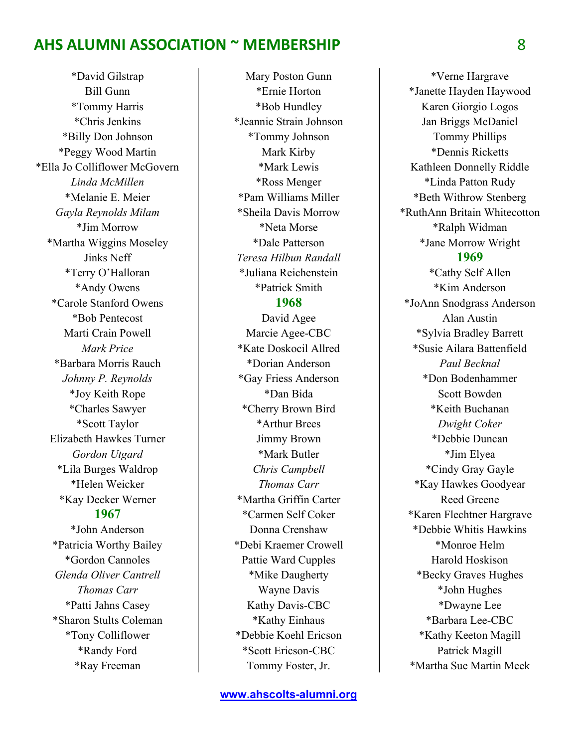\*David Gilstrap Bill Gunn \*Tommy Harris \*Chris Jenkins \*Billy Don Johnson \*Peggy Wood Martin \*Ella Jo Colliflower McGovern Linda McMillen \*Melanie E. Meier Gayla Reynolds Milam \*Jim Morrow \*Martha Wiggins Moseley Jinks Neff \*Terry O'Halloran \*Andy Owens \*Carole Stanford Owens \*Bob Pentecost Marti Crain Powell Mark Price \*Barbara Morris Rauch Johnny P. Reynolds \*Joy Keith Rope \*Charles Sawyer \*Scott Taylor Elizabeth Hawkes Turner Gordon Utgard \*Lila Burges Waldrop \*Helen Weicker \*Kay Decker Werner 1967 \*John Anderson \*Patricia Worthy Bailey \*Gordon Cannoles Glenda Oliver Cantrell Thomas Carr \*Patti Jahns Casey \*Sharon Stults Coleman \*Tony Colliflower

> \*Randy Ford \*Ray Freeman

Mary Poston Gunn \*Ernie Horton \*Bob Hundley \*Jeannie Strain Johnson \*Tommy Johnson Mark Kirby \*Mark Lewis \*Ross Menger \*Pam Williams Miller \*Sheila Davis Morrow \*Neta Morse \*Dale Patterson Teresa Hilbun Randall \*Juliana Reichenstein \*Patrick Smith 1968 David Agee Marcie Agee-CBC \*Kate Doskocil Allred \*Dorian Anderson \*Gay Friess Anderson \*Dan Bida \*Cherry Brown Bird \*Arthur Brees Jimmy Brown \*Mark Butler Chris Campbell Thomas Carr \*Martha Griffin Carter \*Carmen Self Coker Donna Crenshaw \*Debi Kraemer Crowell Pattie Ward Cupples \*Mike Daugherty Wayne Davis Kathy Davis-CBC \*Kathy Einhaus \*Debbie Koehl Ericson \*Scott Ericson-CBC Tommy Foster, Jr.

\*Verne Hargrave \*Janette Hayden Haywood Karen Giorgio Logos Jan Briggs McDaniel Tommy Phillips \*Dennis Ricketts Kathleen Donnelly Riddle \*Linda Patton Rudy \*Beth Withrow Stenberg \*RuthAnn Britain Whitecotton \*Ralph Widman \*Jane Morrow Wright 1969 \*Cathy Self Allen \*Kim Anderson \*JoAnn Snodgrass Anderson Alan Austin \*Sylvia Bradley Barrett \*Susie Ailara Battenfield Paul Becknal \*Don Bodenhammer Scott Bowden \*Keith Buchanan Dwight Coker \*Debbie Duncan \*Jim Elyea \*Cindy Gray Gayle \*Kay Hawkes Goodyear Reed Greene \*Karen Flechtner Hargrave \*Debbie Whitis Hawkins \*Monroe Helm Harold Hoskison \*Becky Graves Hughes \*John Hughes \*Dwayne Lee \*Barbara Lee-CBC \*Kathy Keeton Magill Patrick Magill \*Martha Sue Martin Meek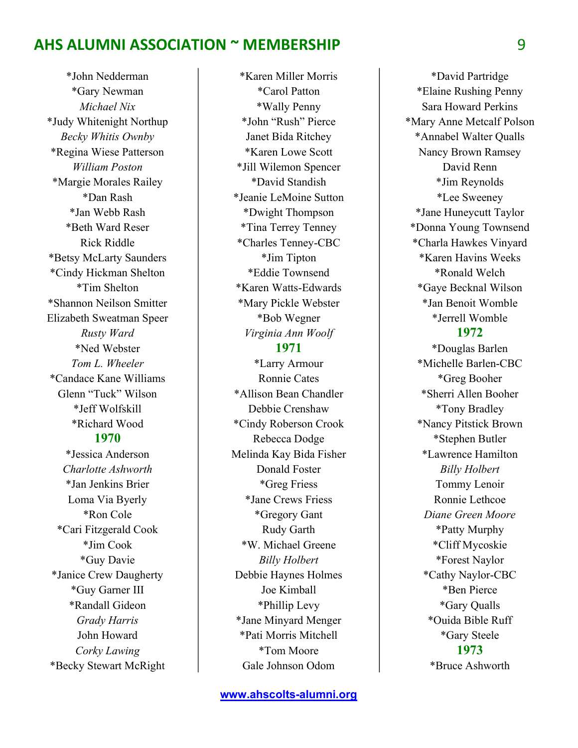\*John Nedderman \*Gary Newman Michael Nix \*Judy Whitenight Northup Becky Whitis Ownby \*Regina Wiese Patterson William Poston \*Margie Morales Railey \*Dan Rash \*Jan Webb Rash \*Beth Ward Reser Rick Riddle \*Betsy McLarty Saunders \*Cindy Hickman Shelton \*Tim Shelton \*Shannon Neilson Smitter Elizabeth Sweatman Speer Rusty Ward \*Ned Webster Tom L. Wheeler \*Candace Kane Williams Glenn "Tuck" Wilson \*Jeff Wolfskill \*Richard Wood 1970 \*Jessica Anderson Charlotte Ashworth \*Jan Jenkins Brier Loma Via Byerly \*Ron Cole \*Cari Fitzgerald Cook \*Jim Cook \*Guy Davie \*Janice Crew Daugherty \*Guy Garner III \*Randall Gideon Grady Harris John Howard Corky Lawing \*Becky Stewart McRight

\*Karen Miller Morris \*Carol Patton \*Wally Penny \*John "Rush" Pierce Janet Bida Ritchey \*Karen Lowe Scott \*Jill Wilemon Spencer \*David Standish \*Jeanie LeMoine Sutton \*Dwight Thompson \*Tina Terrey Tenney \*Charles Tenney-CBC \*Jim Tipton \*Eddie Townsend \*Karen Watts-Edwards \*Mary Pickle Webster \*Bob Wegner Virginia Ann Woolf 1971 \*Larry Armour Ronnie Cates \*Allison Bean Chandler Debbie Crenshaw \*Cindy Roberson Crook Rebecca Dodge Melinda Kay Bida Fisher Donald Foster \*Greg Friess \*Jane Crews Friess \*Gregory Gant Rudy Garth \*W. Michael Greene Billy Holbert Debbie Haynes Holmes Joe Kimball \*Phillip Levy \*Jane Minyard Menger \*Pati Morris Mitchell \*Tom Moore Gale Johnson Odom

\*David Partridge \*Elaine Rushing Penny Sara Howard Perkins \*Mary Anne Metcalf Polson \*Annabel Walter Qualls Nancy Brown Ramsey David Renn \*Jim Reynolds \*Lee Sweeney \*Jane Huneycutt Taylor \*Donna Young Townsend \*Charla Hawkes Vinyard \*Karen Havins Weeks \*Ronald Welch \*Gaye Becknal Wilson \*Jan Benoit Womble \*Jerrell Womble 1972

\*Douglas Barlen \*Michelle Barlen-CBC \*Greg Booher \*Sherri Allen Booher \*Tony Bradley \*Nancy Pitstick Brown \*Stephen Butler \*Lawrence Hamilton Billy Holbert Tommy Lenoir Ronnie Lethcoe Diane Green Moore \*Patty Murphy \*Cliff Mycoskie \*Forest Naylor \*Cathy Naylor-CBC \*Ben Pierce \*Gary Qualls \*Ouida Bible Ruff \*Gary Steele 1973 \*Bruce Ashworth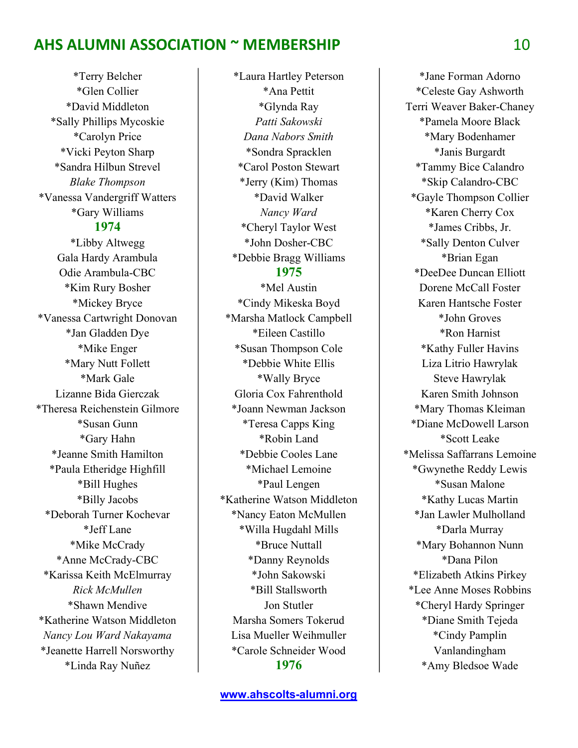\*Terry Belcher \*Glen Collier \*David Middleton \*Sally Phillips Mycoskie \*Carolyn Price \*Vicki Peyton Sharp \*Sandra Hilbun Strevel Blake Thompson \*Vanessa Vandergriff Watters \*Gary Williams 1974 \*Libby Altwegg Gala Hardy Arambula Odie Arambula-CBC \*Kim Rury Bosher \*Mickey Bryce \*Vanessa Cartwright Donovan \*Jan Gladden Dye \*Mike Enger \*Mary Nutt Follett \*Mark Gale Lizanne Bida Gierczak \*Theresa Reichenstein Gilmore \*Susan Gunn \*Gary Hahn \*Jeanne Smith Hamilton \*Paula Etheridge Highfill \*Bill Hughes \*Billy Jacobs \*Deborah Turner Kochevar \*Jeff Lane \*Mike McCrady \*Anne McCrady-CBC \*Karissa Keith McElmurray Rick McMullen \*Shawn Mendive \*Katherine Watson Middleton Nancy Lou Ward Nakayama \*Jeanette Harrell Norsworthy \*Linda Ray Nuñez

\*Laura Hartley Peterson \*Ana Pettit \*Glynda Ray Patti Sakowski Dana Nabors Smith \*Sondra Spracklen \*Carol Poston Stewart \*Jerry (Kim) Thomas \*David Walker Nancy Ward \*Cheryl Taylor West \*John Dosher-CBC \*Debbie Bragg Williams 1975 \*Mel Austin \*Cindy Mikeska Boyd \*Marsha Matlock Campbell \*Eileen Castillo \*Susan Thompson Cole \*Debbie White Ellis \*Wally Bryce Gloria Cox Fahrenthold \*Joann Newman Jackson \*Teresa Capps King \*Robin Land \*Debbie Cooles Lane \*Michael Lemoine \*Paul Lengen \*Katherine Watson Middleton \*Nancy Eaton McMullen

\*Willa Hugdahl Mills \*Bruce Nuttall \*Danny Reynolds \*John Sakowski \*Bill Stallsworth Jon Stutler Marsha Somers Tokerud Lisa Mueller Weihmuller \*Carole Schneider Wood 1976

\*Jane Forman Adorno \*Celeste Gay Ashworth Terri Weaver Baker-Chaney \*Pamela Moore Black \*Mary Bodenhamer \*Janis Burgardt \*Tammy Bice Calandro \*Skip Calandro-CBC \*Gayle Thompson Collier \*Karen Cherry Cox \*James Cribbs, Jr. \*Sally Denton Culver \*Brian Egan \*DeeDee Duncan Elliott Dorene McCall Foster Karen Hantsche Foster \*John Groves \*Ron Harnist \*Kathy Fuller Havins Liza Litrio Hawrylak Steve Hawrylak Karen Smith Johnson \*Mary Thomas Kleiman \*Diane McDowell Larson \*Scott Leake \*Melissa Saffarrans Lemoine \*Gwynethe Reddy Lewis \*Susan Malone \*Kathy Lucas Martin \*Jan Lawler Mulholland \*Darla Murray \*Mary Bohannon Nunn \*Dana Pilon \*Elizabeth Atkins Pirkey \*Lee Anne Moses Robbins \*Cheryl Hardy Springer \*Diane Smith Tejeda \*Cindy Pamplin Vanlandingham \*Amy Bledsoe Wade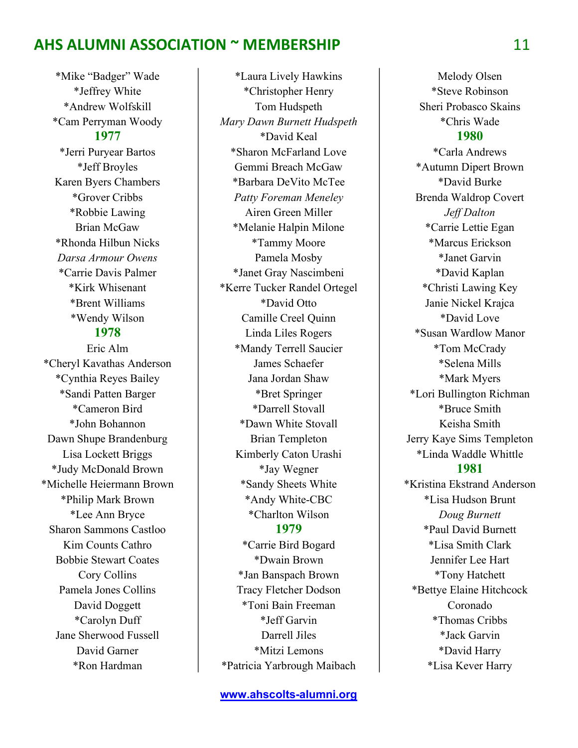\*Mike "Badger" Wade \*Jeffrey White \*Andrew Wolfskill \*Cam Perryman Woody 1977 \*Jerri Puryear Bartos \*Jeff Broyles Karen Byers Chambers \*Grover Cribbs \*Robbie Lawing Brian McGaw \*Rhonda Hilbun Nicks Darsa Armour Owens \*Carrie Davis Palmer \*Kirk Whisenant \*Brent Williams \*Wendy Wilson 1978

Eric Alm \*Cheryl Kavathas Anderson \*Cynthia Reyes Bailey \*Sandi Patten Barger \*Cameron Bird \*John Bohannon Dawn Shupe Brandenburg Lisa Lockett Briggs \*Judy McDonald Brown \*Michelle Heiermann Brown \*Philip Mark Brown \*Lee Ann Bryce Sharon Sammons Castloo Kim Counts Cathro Bobbie Stewart Coates Cory Collins Pamela Jones Collins David Doggett \*Carolyn Duff Jane Sherwood Fussell David Garner \*Ron Hardman

\*Laura Lively Hawkins \*Christopher Henry Tom Hudspeth Mary Dawn Burnett Hudspeth \*David Keal \*Sharon McFarland Love Gemmi Breach McGaw \*Barbara DeVito McTee Patty Foreman Meneley Airen Green Miller \*Melanie Halpin Milone \*Tammy Moore Pamela Mosby \*Janet Gray Nascimbeni \*Kerre Tucker Randel Ortegel \*David Otto Camille Creel Quinn Linda Liles Rogers \*Mandy Terrell Saucier James Schaefer Jana Jordan Shaw \*Bret Springer \*Darrell Stovall \*Dawn White Stovall Brian Templeton Kimberly Caton Urashi \*Jay Wegner \*Sandy Sheets White \*Andy White-CBC \*Charlton Wilson 1979 \*Carrie Bird Bogard \*Dwain Brown \*Jan Banspach Brown Tracy Fletcher Dodson \*Toni Bain Freeman \*Jeff Garvin

Darrell Jiles \*Mitzi Lemons \*Patricia Yarbrough Maibach

Melody Olsen \*Steve Robinson Sheri Probasco Skains \*Chris Wade 1980

\*Carla Andrews \*Autumn Dipert Brown \*David Burke Brenda Waldrop Covert Jeff Dalton \*Carrie Lettie Egan \*Marcus Erickson \*Janet Garvin \*David Kaplan \*Christi Lawing Key Janie Nickel Krajca \*David Love \*Susan Wardlow Manor \*Tom McCrady \*Selena Mills \*Mark Myers \*Lori Bullington Richman \*Bruce Smith Keisha Smith Jerry Kaye Sims Templeton \*Linda Waddle Whittle 1981 \*Kristina Ekstrand Anderson \*Lisa Hudson Brunt Doug Burnett \*Paul David Burnett \*Lisa Smith Clark Jennifer Lee Hart \*Tony Hatchett \*Bettye Elaine Hitchcock Coronado \*Thomas Cribbs \*Jack Garvin \*David Harry \*Lisa Kever Harry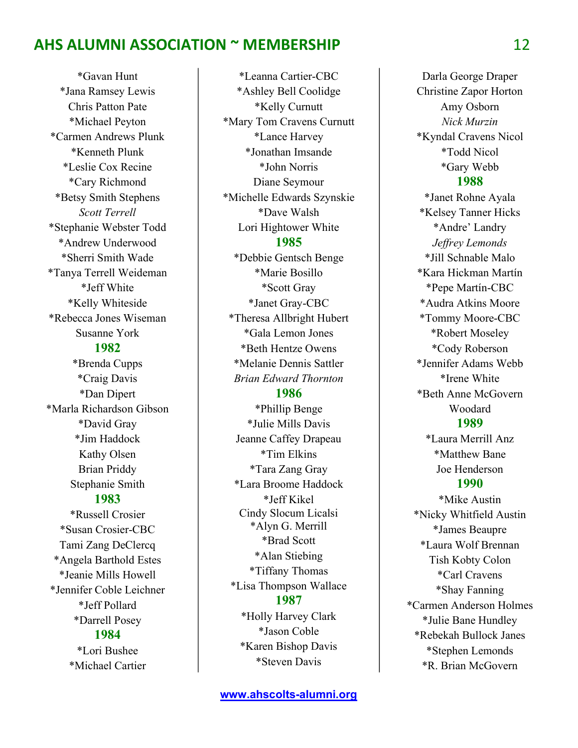\*Gavan Hunt \*Jana Ramsey Lewis Chris Patton Pate \*Michael Peyton \*Carmen Andrews Plunk \*Kenneth Plunk \*Leslie Cox Recine \*Cary Richmond \*Betsy Smith Stephens Scott Terrell \*Stephanie Webster Todd \*Andrew Underwood \*Sherri Smith Wade \*Tanya Terrell Weideman \*Jeff White \*Kelly Whiteside \*Rebecca Jones Wiseman Susanne York 1982 \*Brenda Cupps \*Craig Davis \*Dan Dipert \*Marla Richardson Gibson \*David Gray \*Jim Haddock Kathy Olsen Brian Priddy Stephanie Smith 1983 \*Russell Crosier \*Susan Crosier-CBC Tami Zang DeClercq \*Angela Barthold Estes \*Jeanie Mills Howell \*Jennifer Coble Leichner \*Jeff Pollard \*Darrell Posey 1984 \*Lori Bushee \*Michael Cartier

\*Leanna Cartier-CBC \*Ashley Bell Coolidge \*Kelly Curnutt \*Mary Tom Cravens Curnutt \*Lance Harvey \*Jonathan Imsande \*John Norris Diane Seymour \*Michelle Edwards Szynskie \*Dave Walsh Lori Hightower White 1985 \*Debbie Gentsch Benge \*Marie Bosillo \*Scott Gray \*Janet Gray-CBC \*Theresa Allbright Hubert \*Gala Lemon Jones \*Beth Hentze Owens \*Melanie Dennis Sattler Brian Edward Thornton 1986 \*Phillip Benge \*Julie Mills Davis Jeanne Caffey Drapeau \*Tim Elkins \*Tara Zang Gray \*Lara Broome Haddock \*Jeff Kikel Cindy Slocum Licalsi \*Alyn G. Merrill \*Brad Scott \*Alan Stiebing \*Tiffany Thomas \*Lisa Thompson Wallace 1987 \*Holly Harvey Clark \*Jason Coble \*Karen Bishop Davis \*Steven Davis

Darla George Draper Christine Zapor Horton Amy Osborn Nick Murzin \*Kyndal Cravens Nicol \*Todd Nicol \*Gary Webb 1988 \*Janet Rohne Ayala \*Kelsey Tanner Hicks \*Andre' Landry

Jeffrey Lemonds \*Jill Schnable Malo \*Kara Hickman Martín \*Pepe Martín-CBC \*Audra Atkins Moore \*Tommy Moore-CBC \*Robert Moseley \*Cody Roberson \*Jennifer Adams Webb \*Irene White \*Beth Anne McGovern Woodard 1989 \*Laura Merrill Anz \*Matthew Bane Joe Henderson 1990 \*Mike Austin \*Nicky Whitfield Austin \*James Beaupre \*Laura Wolf Brennan Tish Kobty Colon \*Carl Cravens \*Shay Fanning \*Carmen Anderson Holmes \*Julie Bane Hundley \*Rebekah Bullock Janes \*Stephen Lemonds \*R. Brian McGovern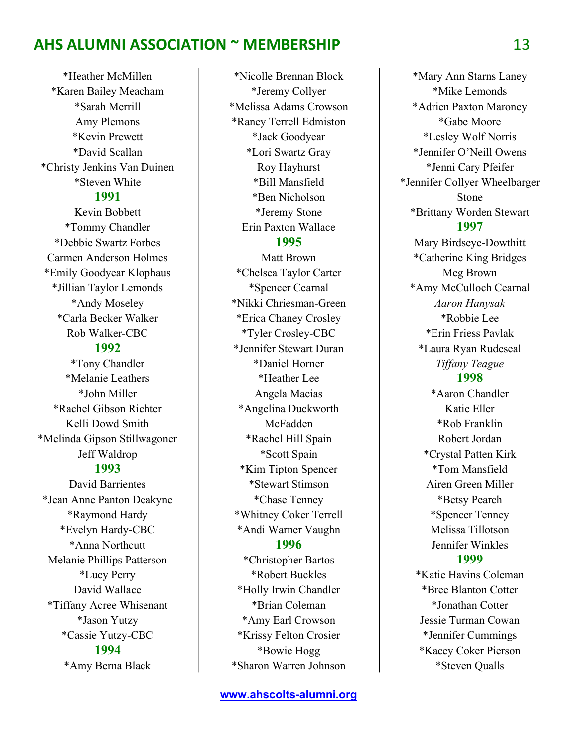\*Heather McMillen \*Karen Bailey Meacham \*Sarah Merrill Amy Plemons \*Kevin Prewett \*David Scallan \*Christy Jenkins Van Duinen \*Steven White 1991

Kevin Bobbett \*Tommy Chandler \*Debbie Swartz Forbes Carmen Anderson Holmes \*Emily Goodyear Klophaus \*Jillian Taylor Lemonds \*Andy Moseley \*Carla Becker Walker Rob Walker-CBC 1992 \*Tony Chandler \*Melanie Leathers \*John Miller \*Rachel Gibson Richter Kelli Dowd Smith \*Melinda Gipson Stillwagoner Jeff Waldrop

#### 1993

David Barrientes \*Jean Anne Panton Deakyne \*Raymond Hardy \*Evelyn Hardy-CBC \*Anna Northcutt Melanie Phillips Patterson \*Lucy Perry David Wallace \*Tiffany Acree Whisenant \*Jason Yutzy \*Cassie Yutzy-CBC 1994 \*Amy Berna Black

\*Nicolle Brennan Block \*Jeremy Collyer \*Melissa Adams Crowson \*Raney Terrell Edmiston \*Jack Goodyear \*Lori Swartz Gray Roy Hayhurst \*Bill Mansfield \*Ben Nicholson \*Jeremy Stone Erin Paxton Wallace 1995 Matt Brown \*Chelsea Taylor Carter \*Spencer Cearnal \*Nikki Chriesman-Green \*Erica Chaney Crosley \*Tyler Crosley-CBC \*Jennifer Stewart Duran \*Daniel Horner \*Heather Lee Angela Macias \*Angelina Duckworth McFadden \*Rachel Hill Spain \*Scott Spain \*Kim Tipton Spencer \*Stewart Stimson \*Chase Tenney \*Whitney Coker Terrell \*Andi Warner Vaughn 1996 \*Christopher Bartos

\*Robert Buckles \*Holly Irwin Chandler \*Brian Coleman \*Amy Earl Crowson \*Krissy Felton Crosier \*Bowie Hogg \*Sharon Warren Johnson

\*Mary Ann Starns Laney \*Mike Lemonds \*Adrien Paxton Maroney \*Gabe Moore \*Lesley Wolf Norris \*Jennifer O'Neill Owens \*Jenni Cary Pfeifer \*Jennifer Collyer Wheelbarger Stone \*Brittany Worden Stewart 1997 Mary Birdseye-Dowthitt \*Catherine King Bridges Meg Brown \*Amy McCulloch Cearnal Aaron Hanysak \*Robbie Lee \*Erin Friess Pavlak \*Laura Ryan Rudeseal Tiffany Teague 1998 \*Aaron Chandler Katie Eller \*Rob Franklin Robert Jordan \*Crystal Patten Kirk \*Tom Mansfield Airen Green Miller \*Betsy Pearch \*Spencer Tenney Melissa Tillotson Jennifer Winkles 1999 \*Katie Havins Coleman \*Bree Blanton Cotter \*Jonathan Cotter Jessie Turman Cowan \*Jennifer Cummings \*Kacey Coker Pierson \*Steven Qualls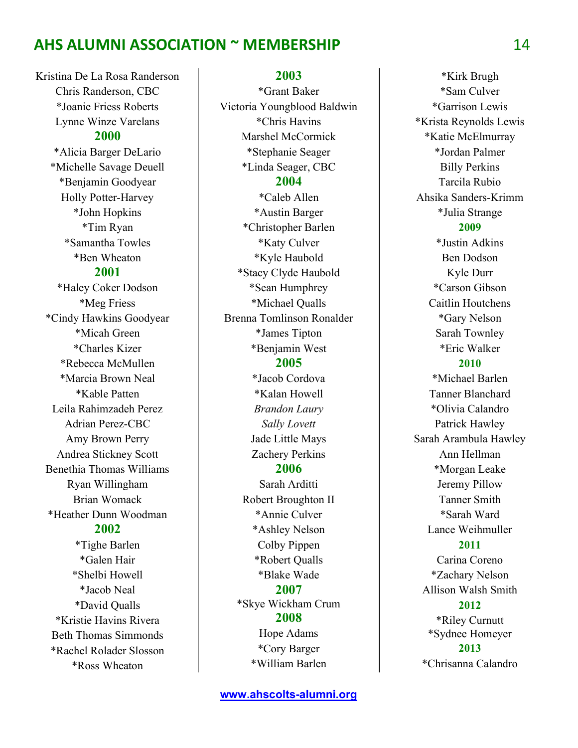Kristina De La Rosa Randerson Chris Randerson, CBC \*Joanie Friess Roberts Lynne Winze Varelans 2000 \*Alicia Barger DeLario \*Michelle Savage Deuell \*Benjamin Goodyear Holly Potter-Harvey \*John Hopkins \*Tim Ryan \*Samantha Towles \*Ben Wheaton 2001 \*Haley Coker Dodson \*Meg Friess \*Cindy Hawkins Goodyear \*Micah Green \*Charles Kizer \*Rebecca McMullen \*Marcia Brown Neal \*Kable Patten Leila Rahimzadeh Perez Adrian Perez-CBC Amy Brown Perry Andrea Stickney Scott Benethia Thomas Williams Ryan Willingham Brian Womack \*Heather Dunn Woodman 2002 \*Tighe Barlen \*Galen Hair \*Shelbi Howell \*Jacob Neal \*David Qualls \*Kristie Havins Rivera Beth Thomas Simmonds \*Rachel Rolader Slosson \*Ross Wheaton

2003 \*Grant Baker Victoria Youngblood Baldwin \*Chris Havins Marshel McCormick \*Stephanie Seager \*Linda Seager, CBC 2004 \*Caleb Allen \*Austin Barger \*Christopher Barlen \*Katy Culver \*Kyle Haubold \*Stacy Clyde Haubold \*Sean Humphrey \*Michael Qualls Brenna Tomlinson Ronalder \*James Tipton \*Benjamin West 2005 \*Jacob Cordova \*Kalan Howell Brandon Laury Sally Lovett Jade Little Mays Zachery Perkins 2006 Sarah Arditti Robert Broughton II \*Annie Culver \*Ashley Nelson Colby Pippen \*Robert Qualls \*Blake Wade 2007 \*Skye Wickham Crum 2008 Hope Adams \*Cory Barger \*William Barlen

\*Kirk Brugh \*Sam Culver \*Garrison Lewis \*Krista Reynolds Lewis \*Katie McElmurray \*Jordan Palmer Billy Perkins Tarcila Rubio Ahsika Sanders-Krimm \*Julia Strange 2009 \*Justin Adkins Ben Dodson Kyle Durr \*Carson Gibson Caitlin Houtchens \*Gary Nelson Sarah Townley \*Eric Walker 2010 \*Michael Barlen Tanner Blanchard \*Olivia Calandro Patrick Hawley Sarah Arambula Hawley Ann Hellman \*Morgan Leake Jeremy Pillow Tanner Smith \*Sarah Ward Lance Weihmuller 2011 Carina Coreno \*Zachary Nelson Allison Walsh Smith 2012 \*Riley Curnutt \*Sydnee Homeyer 2013 \*Chrisanna Calandro